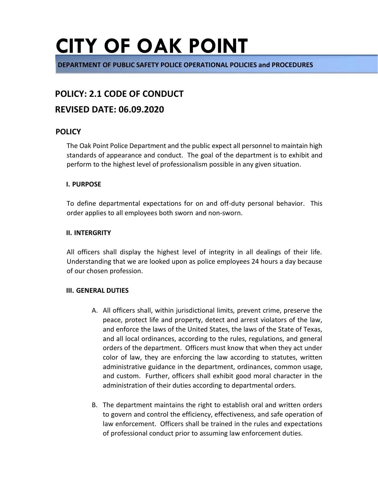**DEPARTMENT OF PUBLIC SAFETY POLICE OPERATIONAL POLICIES and PROCEDURES** 

#### **POLICY: 2.1 CODE OF CONDUCT**

#### **REVISED DATE: 06.09.2020**

#### **POLICY**

The Oak Point Police Department and the public expect all personnel to maintain high standards of appearance and conduct. The goal of the department is to exhibit and perform to the highest level of professionalism possible in any given situation.

#### **I. PURPOSE**

To define departmental expectations for on and off-duty personal behavior. This order applies to all employees both sworn and non-sworn.

#### **II. INTERGRITY**

All officers shall display the highest level of integrity in all dealings of their life. Understanding that we are looked upon as police employees 24 hours a day because of our chosen profession.

#### **III. GENERAL DUTIES**

- A. All officers shall, within jurisdictional limits, prevent crime, preserve the peace, protect life and property, detect and arrest violators of the law, and enforce the laws of the United States, the laws of the State of Texas, and all local ordinances, according to the rules, regulations, and general orders of the department. Officers must know that when they act under color of law, they are enforcing the law according to statutes, written administrative guidance in the department, ordinances, common usage, and custom. Further, officers shall exhibit good moral character in the administration of their duties according to departmental orders.
- B. The department maintains the right to establish oral and written orders to govern and control the efficiency, effectiveness, and safe operation of law enforcement. Officers shall be trained in the rules and expectations of professional conduct prior to assuming law enforcement duties.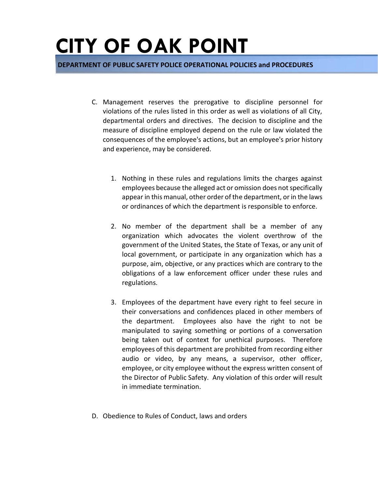- C. Management reserves the prerogative to discipline personnel for violations of the rules listed in this order as well as violations of all City, departmental orders and directives. The decision to discipline and the measure of discipline employed depend on the rule or law violated the consequences of the employee's actions, but an employee's prior history and experience, may be considered.
	- 1. Nothing in these rules and regulations limits the charges against employees because the alleged act or omission does not specifically appear in this manual, other order of the department, or in the laws or ordinances of which the department is responsible to enforce.
	- 2. No member of the department shall be a member of any organization which advocates the violent overthrow of the government of the United States, the State of Texas, or any unit of local government, or participate in any organization which has a purpose, aim, objective, or any practices which are contrary to the obligations of a law enforcement officer under these rules and regulations.
	- 3. Employees of the department have every right to feel secure in their conversations and confidences placed in other members of the department. Employees also have the right to not be manipulated to saying something or portions of a conversation being taken out of context for unethical purposes. Therefore employees of this department are prohibited from recording either audio or video, by any means, a supervisor, other officer, employee, or city employee without the express written consent of the Director of Public Safety. Any violation of this order will result in immediate termination.
- D. Obedience to Rules of Conduct, laws and orders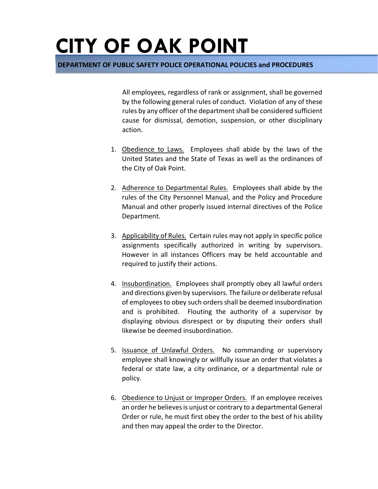**DEPARTMENT OF PUBLIC SAFETY POLICE OPERATIONAL POLICIES and PROCEDURES** 

All employees, regardless of rank or assignment, shall be governed by the following general rules of conduct. Violation of any of these rules by any officer of the department shall be considered sufficient cause for dismissal, demotion, suspension, or other disciplinary action.

- 1. Obedience to Laws. Employees shall abide by the laws of the United States and the State of Texas as well as the ordinances of the City of Oak Point.
- 2. Adherence to Departmental Rules. Employees shall abide by the rules of the City Personnel Manual, and the Policy and Procedure Manual and other properly issued internal directives of the Police Department.
- 3. Applicability of Rules. Certain rules may not apply in specific police assignments specifically authorized in writing by supervisors. However in all instances Officers may be held accountable and required to justify their actions.
- 4. Insubordination. Employees shall promptly obey all lawful orders and directions given by supervisors. The failure or deliberate refusal of employees to obey such orders shall be deemed insubordination and is prohibited. Flouting the authority of a supervisor by displaying obvious disrespect or by disputing their orders shall likewise be deemed insubordination.
- 5. Issuance of Unlawful Orders. No commanding or supervisory employee shall knowingly or willfully issue an order that violates a federal or state law, a city ordinance, or a departmental rule or policy.
- 6. Obedience to Unjust or Improper Orders. If an employee receives an order he believes is unjust or contrary to a departmental General Order or rule, he must first obey the order to the best of his ability and then may appeal the order to the Director.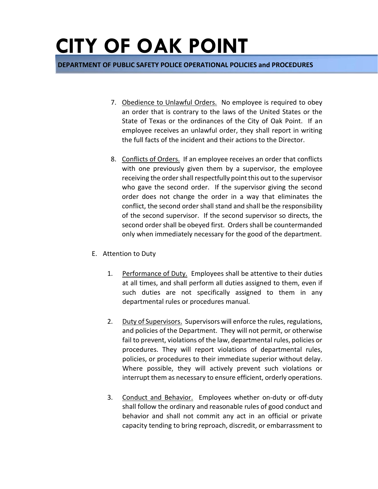- 7. Obedience to Unlawful Orders. No employee is required to obey an order that is contrary to the laws of the United States or the State of Texas or the ordinances of the City of Oak Point. If an employee receives an unlawful order, they shall report in writing the full facts of the incident and their actions to the Director.
- 8. Conflicts of Orders. If an employee receives an order that conflicts with one previously given them by a supervisor, the employee receiving the order shall respectfully point this out to the supervisor who gave the second order. If the supervisor giving the second order does not change the order in a way that eliminates the conflict, the second order shall stand and shall be the responsibility of the second supervisor. If the second supervisor so directs, the second order shall be obeyed first. Orders shall be countermanded only when immediately necessary for the good of the department.
- E. Attention to Duty
	- 1. Performance of Duty. Employees shall be attentive to their duties at all times, and shall perform all duties assigned to them, even if such duties are not specifically assigned to them in any departmental rules or procedures manual.
	- 2. Duty of Supervisors. Supervisors will enforce the rules, regulations, and policies of the Department. They will not permit, or otherwise fail to prevent, violations of the law, departmental rules, policies or procedures. They will report violations of departmental rules, policies, or procedures to their immediate superior without delay. Where possible, they will actively prevent such violations or interrupt them as necessary to ensure efficient, orderly operations.
	- 3. Conduct and Behavior. Employees whether on-duty or off-duty shall follow the ordinary and reasonable rules of good conduct and behavior and shall not commit any act in an official or private capacity tending to bring reproach, discredit, or embarrassment to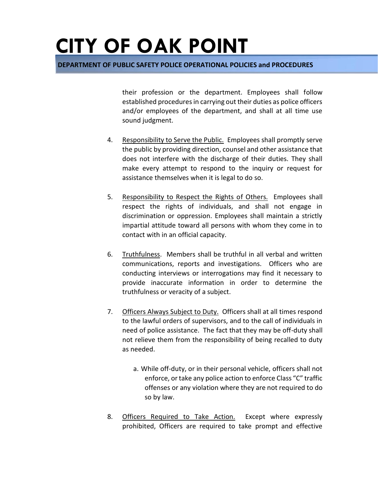**DEPARTMENT OF PUBLIC SAFETY POLICE OPERATIONAL POLICIES and PROCEDURES** 

their profession or the department. Employees shall follow established procedures in carrying out their duties as police officers and/or employees of the department, and shall at all time use sound judgment.

- 4. Responsibility to Serve the Public. Employees shall promptly serve the public by providing direction, counsel and other assistance that does not interfere with the discharge of their duties. They shall make every attempt to respond to the inquiry or request for assistance themselves when it is legal to do so.
- 5. Responsibility to Respect the Rights of Others. Employees shall respect the rights of individuals, and shall not engage in discrimination or oppression. Employees shall maintain a strictly impartial attitude toward all persons with whom they come in to contact with in an official capacity.
- 6. Truthfulness. Members shall be truthful in all verbal and written communications, reports and investigations. Officers who are conducting interviews or interrogations may find it necessary to provide inaccurate information in order to determine the truthfulness or veracity of a subject.
- 7. Officers Always Subject to Duty. Officers shall at all times respond to the lawful orders of supervisors, and to the call of individuals in need of police assistance. The fact that they may be off-duty shall not relieve them from the responsibility of being recalled to duty as needed.
	- a. While off-duty, or in their personal vehicle, officers shall not enforce, or take any police action to enforce Class "C" traffic offenses or any violation where they are not required to do so by law.
- 8. Officers Required to Take Action. Except where expressly prohibited, Officers are required to take prompt and effective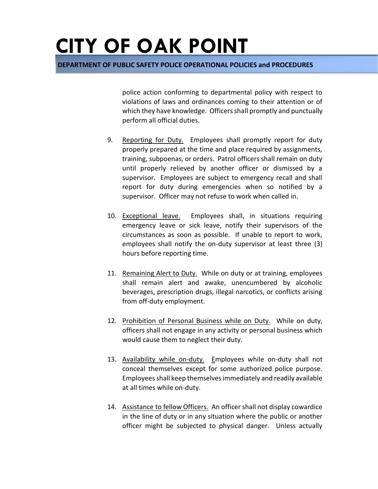**DEPARTMENT OF PUBLIC SAFETY POLICE OPERATIONAL POLICIES and PROCEDURES** 

police action conforming to departmental policy with respect to violations of laws and ordinances coming to their attention or of which they have knowledge. Officers shall promptly and punctually perform all official duties.

- 9. Reporting for Duty. Employees shall promptly report for duty properly prepared at the time and place required by assignments, training, subpoenas, or orders. Patrol officers shall remain on duty until properly relieved by another officer or dismissed by a supervisor. Employees are subject to emergency recall and shall report for duty during emergencies when so notified by a supervisor. Officer may not refuse to work when called in.
- 10. Exceptional leave. Employees shall, in situations requiring emergency leave or sick leave, notify their supervisors of the circumstances as soon as possible. If unable to report to work, employees shall notify the on-duty supervisor at least three (3) hours before reporting time.
- 11. Remaining Alert to Duty. While on duty or at training, employees shall remain alert and awake, unencumbered by alcoholic beverages, prescription drugs, illegal narcotics, or conflicts arising from off-duty employment.
- 12. Prohibition of Personal Business while on Duty. While on duty, officers shall not engage in any activity or personal business which would cause them to neglect their duty.
- 13. Availability while on-duty. Employees while on-duty shall not conceal themselves except for some authorized police purpose. Employees shall keep themselves immediately and readily available at all times while on-duty.
- 14. Assistance to fellow Officers. An officer shall not display cowardice in the line of duty or in any situation where the public or another officer might be subjected to physical danger. Unless actually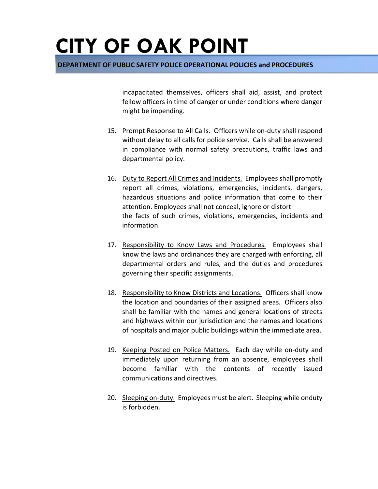**DEPARTMENT OF PUBLIC SAFETY POLICE OPERATIONAL POLICIES and PROCEDURES** 

incapacitated themselves, officers shall aid, assist, and protect fellow officers in time of danger or under conditions where danger might be impending.

- 15. Prompt Response to All Calls. Officers while on-duty shall respond without delay to all calls for police service. Calls shall be answered in compliance with normal safety precautions, traffic laws and departmental policy.
- 16. Duty to Report All Crimes and Incidents. Employees shall promptly report all crimes, violations, emergencies, incidents, dangers, hazardous situations and police information that come to their attention. Employees shall not conceal, ignore or distort the facts of such crimes, violations, emergencies, incidents and information.
- 17. Responsibility to Know Laws and Procedures. Employees shall know the laws and ordinances they are charged with enforcing, all departmental orders and rules, and the duties and procedures governing their specific assignments.
- 18. Responsibility to Know Districts and Locations. Officers shall know the location and boundaries of their assigned areas. Officers also shall be familiar with the names and general locations of streets and highways within our jurisdiction and the names and locations of hospitals and major public buildings within the immediate area.
- 19. Keeping Posted on Police Matters. Each day while on-duty and immediately upon returning from an absence, employees shall become familiar with the contents of recently issued communications and directives.
- 20. Sleeping on-duty. Employees must be alert. Sleeping while onduty is forbidden.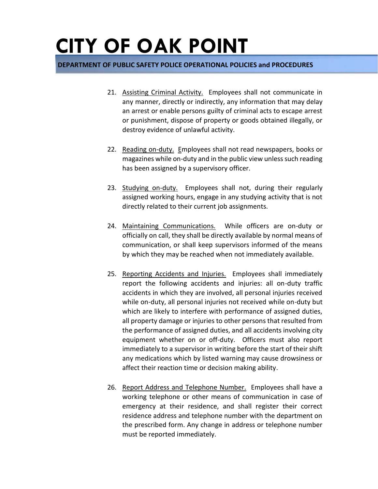- 21. Assisting Criminal Activity. Employees shall not communicate in any manner, directly or indirectly, any information that may delay an arrest or enable persons guilty of criminal acts to escape arrest or punishment, dispose of property or goods obtained illegally, or destroy evidence of unlawful activity.
- 22. Reading on-duty. Employees shall not read newspapers, books or magazines while on-duty and in the public view unless such reading has been assigned by a supervisory officer.
- 23. Studying on-duty. Employees shall not, during their regularly assigned working hours, engage in any studying activity that is not directly related to their current job assignments.
- 24. Maintaining Communications. While officers are on-duty or officially on call, they shall be directly available by normal means of communication, or shall keep supervisors informed of the means by which they may be reached when not immediately available.
- 25. Reporting Accidents and Injuries. Employees shall immediately report the following accidents and injuries: all on-duty traffic accidents in which they are involved, all personal injuries received while on-duty, all personal injuries not received while on-duty but which are likely to interfere with performance of assigned duties, all property damage or injuries to other persons that resulted from the performance of assigned duties, and all accidents involving city equipment whether on or off-duty. Officers must also report immediately to a supervisor in writing before the start of their shift any medications which by listed warning may cause drowsiness or affect their reaction time or decision making ability.
- 26. Report Address and Telephone Number. Employees shall have a working telephone or other means of communication in case of emergency at their residence, and shall register their correct residence address and telephone number with the department on the prescribed form. Any change in address or telephone number must be reported immediately.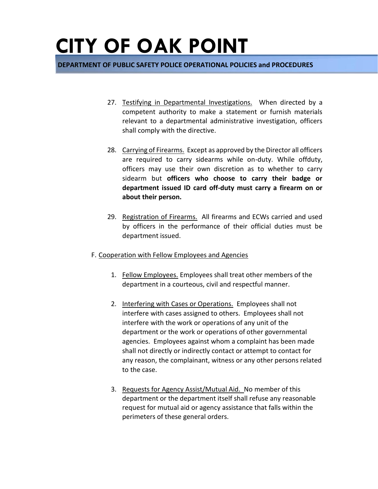- 27. Testifying in Departmental Investigations. When directed by a competent authority to make a statement or furnish materials relevant to a departmental administrative investigation, officers shall comply with the directive.
- 28. Carrying of Firearms. Except as approved by the Director all officers are required to carry sidearms while on-duty. While offduty, officers may use their own discretion as to whether to carry sidearm but **officers who choose to carry their badge or department issued ID card off-duty must carry a firearm on or about their person.**
- 29. Registration of Firearms. All firearms and ECWs carried and used by officers in the performance of their official duties must be department issued.
- F. Cooperation with Fellow Employees and Agencies
	- 1. Fellow Employees. Employees shall treat other members of the department in a courteous, civil and respectful manner.
	- 2. Interfering with Cases or Operations. Employees shall not interfere with cases assigned to others. Employees shall not interfere with the work or operations of any unit of the department or the work or operations of other governmental agencies. Employees against whom a complaint has been made shall not directly or indirectly contact or attempt to contact for any reason, the complainant, witness or any other persons related to the case.
	- 3. Requests for Agency Assist/Mutual Aid. No member of this department or the department itself shall refuse any reasonable request for mutual aid or agency assistance that falls within the perimeters of these general orders.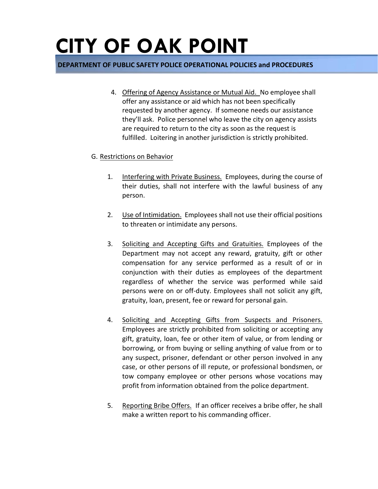#### **DEPARTMENT OF PUBLIC SAFETY POLICE OPERATIONAL POLICIES and PROCEDURES**

4. Offering of Agency Assistance or Mutual Aid. No employee shall offer any assistance or aid which has not been specifically requested by another agency. If someone needs our assistance they'll ask. Police personnel who leave the city on agency assists are required to return to the city as soon as the request is fulfilled. Loitering in another jurisdiction is strictly prohibited.

#### G. Restrictions on Behavior

- 1. Interfering with Private Business. Employees, during the course of their duties, shall not interfere with the lawful business of any person.
- 2. Use of Intimidation. Employees shall not use their official positions to threaten or intimidate any persons.
- 3. Soliciting and Accepting Gifts and Gratuities. Employees of the Department may not accept any reward, gratuity, gift or other compensation for any service performed as a result of or in conjunction with their duties as employees of the department regardless of whether the service was performed while said persons were on or off-duty. Employees shall not solicit any gift, gratuity, loan, present, fee or reward for personal gain.
- 4. Soliciting and Accepting Gifts from Suspects and Prisoners. Employees are strictly prohibited from soliciting or accepting any gift, gratuity, loan, fee or other item of value, or from lending or borrowing, or from buying or selling anything of value from or to any suspect, prisoner, defendant or other person involved in any case, or other persons of ill repute, or professional bondsmen, or tow company employee or other persons whose vocations may profit from information obtained from the police department.
- 5. Reporting Bribe Offers. If an officer receives a bribe offer, he shall make a written report to his commanding officer.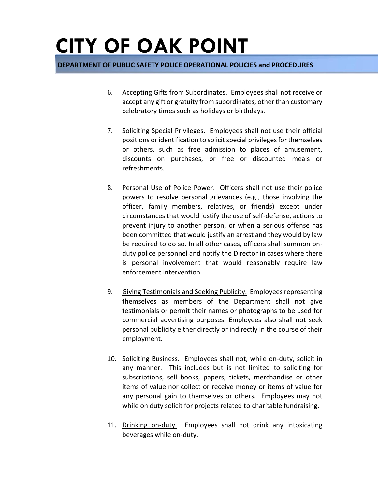- 6. Accepting Gifts from Subordinates. Employees shall not receive or accept any gift or gratuity from subordinates, other than customary celebratory times such as holidays or birthdays.
- 7. Soliciting Special Privileges. Employees shall not use their official positions or identification to solicit special privileges for themselves or others, such as free admission to places of amusement, discounts on purchases, or free or discounted meals or refreshments.
- 8. Personal Use of Police Power. Officers shall not use their police powers to resolve personal grievances (e.g., those involving the officer, family members, relatives, or friends) except under circumstances that would justify the use of self-defense, actions to prevent injury to another person, or when a serious offense has been committed that would justify an arrest and they would by law be required to do so. In all other cases, officers shall summon onduty police personnel and notify the Director in cases where there is personal involvement that would reasonably require law enforcement intervention.
- 9. Giving Testimonials and Seeking Publicity. Employees representing themselves as members of the Department shall not give testimonials or permit their names or photographs to be used for commercial advertising purposes. Employees also shall not seek personal publicity either directly or indirectly in the course of their employment.
- 10. Soliciting Business. Employees shall not, while on-duty, solicit in any manner. This includes but is not limited to soliciting for subscriptions, sell books, papers, tickets, merchandise or other items of value nor collect or receive money or items of value for any personal gain to themselves or others. Employees may not while on duty solicit for projects related to charitable fundraising.
- 11. Drinking on-duty. Employees shall not drink any intoxicating beverages while on-duty.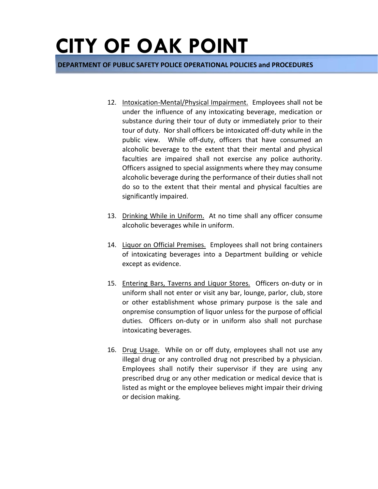- 12. Intoxication-Mental/Physical Impairment. Employees shall not be under the influence of any intoxicating beverage, medication or substance during their tour of duty or immediately prior to their tour of duty. Nor shall officers be intoxicated off-duty while in the public view. While off-duty, officers that have consumed an alcoholic beverage to the extent that their mental and physical faculties are impaired shall not exercise any police authority. Officers assigned to special assignments where they may consume alcoholic beverage during the performance of their duties shall not do so to the extent that their mental and physical faculties are significantly impaired.
- 13. Drinking While in Uniform. At no time shall any officer consume alcoholic beverages while in uniform.
- 14. Liquor on Official Premises. Employees shall not bring containers of intoxicating beverages into a Department building or vehicle except as evidence.
- 15. Entering Bars, Taverns and Liquor Stores. Officers on-duty or in uniform shall not enter or visit any bar, lounge, parlor, club, store or other establishment whose primary purpose is the sale and onpremise consumption of liquor unless for the purpose of official duties. Officers on-duty or in uniform also shall not purchase intoxicating beverages.
- 16. Drug Usage. While on or off duty, employees shall not use any illegal drug or any controlled drug not prescribed by a physician. Employees shall notify their supervisor if they are using any prescribed drug or any other medication or medical device that is listed as might or the employee believes might impair their driving or decision making.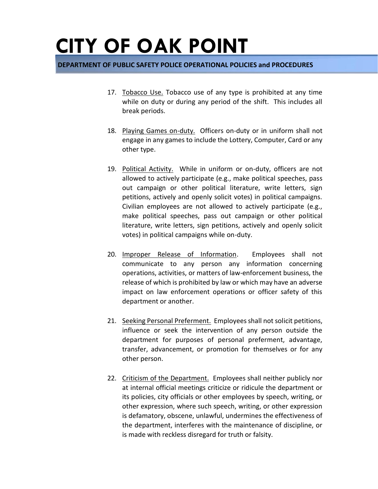- 17. Tobacco Use. Tobacco use of any type is prohibited at any time while on duty or during any period of the shift. This includes all break periods.
- 18. Playing Games on-duty. Officers on-duty or in uniform shall not engage in any games to include the Lottery, Computer, Card or any other type.
- 19. Political Activity. While in uniform or on-duty, officers are not allowed to actively participate (e.g., make political speeches, pass out campaign or other political literature, write letters, sign petitions, actively and openly solicit votes) in political campaigns. Civilian employees are not allowed to actively participate (e.g., make political speeches, pass out campaign or other political literature, write letters, sign petitions, actively and openly solicit votes) in political campaigns while on-duty.
- 20. Improper Release of Information. Employees shall not communicate to any person any information concerning operations, activities, or matters of law-enforcement business, the release of which is prohibited by law or which may have an adverse impact on law enforcement operations or officer safety of this department or another.
- 21. Seeking Personal Preferment. Employees shall not solicit petitions, influence or seek the intervention of any person outside the department for purposes of personal preferment, advantage, transfer, advancement, or promotion for themselves or for any other person.
- 22. Criticism of the Department. Employees shall neither publicly nor at internal official meetings criticize or ridicule the department or its policies, city officials or other employees by speech, writing, or other expression, where such speech, writing, or other expression is defamatory, obscene, unlawful, undermines the effectiveness of the department, interferes with the maintenance of discipline, or is made with reckless disregard for truth or falsity.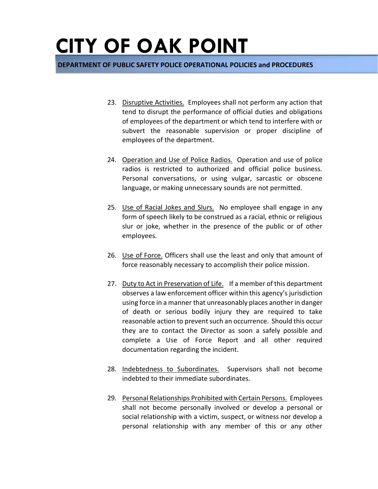- 23. Disruptive Activities. Employees shall not perform any action that tend to disrupt the performance of official duties and obligations of employees of the department or which tend to interfere with or subvert the reasonable supervision or proper discipline of employees of the department.
- 24. Operation and Use of Police Radios. Operation and use of police radios is restricted to authorized and official police business. Personal conversations, or using vulgar, sarcastic or obscene language, or making unnecessary sounds are not permitted.
- 25. Use of Racial Jokes and Slurs. No employee shall engage in any form of speech likely to be construed as a racial, ethnic or religious slur or joke, whether in the presence of the public or of other employees.
- 26. Use of Force. Officers shall use the least and only that amount of force reasonably necessary to accomplish their police mission.
- 27. Duty to Act in Preservation of Life. If a member of this department observes a law enforcement officer within this agency's jurisdiction using force in a manner that unreasonably places another in danger of death or serious bodily injury they are required to take reasonable action to prevent such an occurrence. Should this occur they are to contact the Director as soon a safely possible and complete a Use of Force Report and all other required documentation regarding the incident.
- 28. Indebtedness to Subordinates. Supervisors shall not become indebted to their immediate subordinates.
- 29. Personal Relationships Prohibited with Certain Persons. Employees shall not become personally involved or develop a personal or social relationship with a victim, suspect, or witness nor develop a personal relationship with any member of this or any other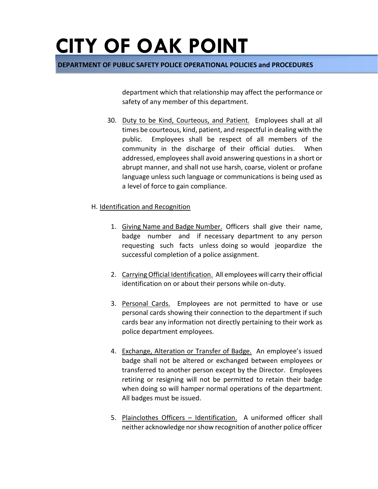**DEPARTMENT OF PUBLIC SAFETY POLICE OPERATIONAL POLICIES and PROCEDURES** 

department which that relationship may affect the performance or safety of any member of this department.

30. Duty to be Kind, Courteous, and Patient. Employees shall at all times be courteous, kind, patient, and respectful in dealing with the public. Employees shall be respect of all members of the community in the discharge of their official duties. When addressed, employees shall avoid answering questions in a short or abrupt manner, and shall not use harsh, coarse, violent or profane language unless such language or communications is being used as a level of force to gain compliance.

#### H. Identification and Recognition

- 1. Giving Name and Badge Number. Officers shall give their name, badge number and if necessary department to any person requesting such facts unless doing so would jeopardize the successful completion of a police assignment.
- 2. Carrying Official Identification. All employees will carry their official identification on or about their persons while on-duty.
- 3. Personal Cards. Employees are not permitted to have or use personal cards showing their connection to the department if such cards bear any information not directly pertaining to their work as police department employees.
- 4. Exchange, Alteration or Transfer of Badge. An employee's issued badge shall not be altered or exchanged between employees or transferred to another person except by the Director. Employees retiring or resigning will not be permitted to retain their badge when doing so will hamper normal operations of the department. All badges must be issued.
- 5. Plainclothes Officers Identification. A uniformed officer shall neither acknowledge nor show recognition of another police officer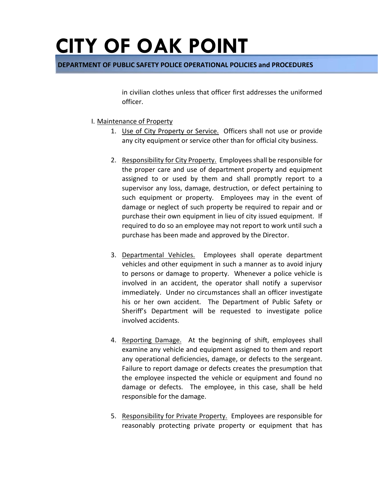**DEPARTMENT OF PUBLIC SAFETY POLICE OPERATIONAL POLICIES and PROCEDURES** 

in civilian clothes unless that officer first addresses the uniformed officer.

- I. Maintenance of Property
	- 1. Use of City Property or Service. Officers shall not use or provide any city equipment or service other than for official city business.
	- 2. Responsibility for City Property. Employees shall be responsible for the proper care and use of department property and equipment assigned to or used by them and shall promptly report to a supervisor any loss, damage, destruction, or defect pertaining to such equipment or property. Employees may in the event of damage or neglect of such property be required to repair and or purchase their own equipment in lieu of city issued equipment. If required to do so an employee may not report to work until such a purchase has been made and approved by the Director.
	- 3. Departmental Vehicles. Employees shall operate department vehicles and other equipment in such a manner as to avoid injury to persons or damage to property. Whenever a police vehicle is involved in an accident, the operator shall notify a supervisor immediately. Under no circumstances shall an officer investigate his or her own accident. The Department of Public Safety or Sheriff's Department will be requested to investigate police involved accidents.
	- 4. Reporting Damage. At the beginning of shift, employees shall examine any vehicle and equipment assigned to them and report any operational deficiencies, damage, or defects to the sergeant. Failure to report damage or defects creates the presumption that the employee inspected the vehicle or equipment and found no damage or defects. The employee, in this case, shall be held responsible for the damage.
	- 5. Responsibility for Private Property. Employees are responsible for reasonably protecting private property or equipment that has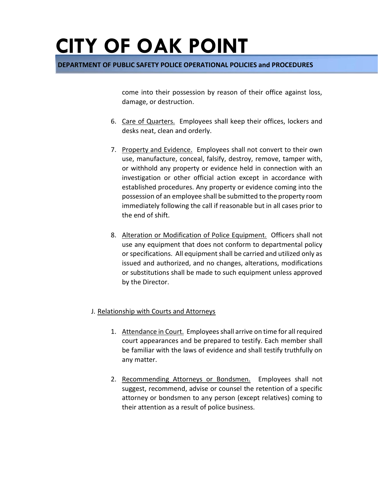**DEPARTMENT OF PUBLIC SAFETY POLICE OPERATIONAL POLICIES and PROCEDURES** 

come into their possession by reason of their office against loss, damage, or destruction.

- 6. Care of Quarters. Employees shall keep their offices, lockers and desks neat, clean and orderly.
- 7. Property and Evidence. Employees shall not convert to their own use, manufacture, conceal, falsify, destroy, remove, tamper with, or withhold any property or evidence held in connection with an investigation or other official action except in accordance with established procedures. Any property or evidence coming into the possession of an employee shall be submitted to the property room immediately following the call if reasonable but in all cases prior to the end of shift.
- 8. Alteration or Modification of Police Equipment. Officers shall not use any equipment that does not conform to departmental policy or specifications. All equipment shall be carried and utilized only as issued and authorized, and no changes, alterations, modifications or substitutions shall be made to such equipment unless approved by the Director.

#### J. Relationship with Courts and Attorneys

- 1. Attendance in Court. Employees shall arrive on time for all required court appearances and be prepared to testify. Each member shall be familiar with the laws of evidence and shall testify truthfully on any matter.
- 2. Recommending Attorneys or Bondsmen. Employees shall not suggest, recommend, advise or counsel the retention of a specific attorney or bondsmen to any person (except relatives) coming to their attention as a result of police business.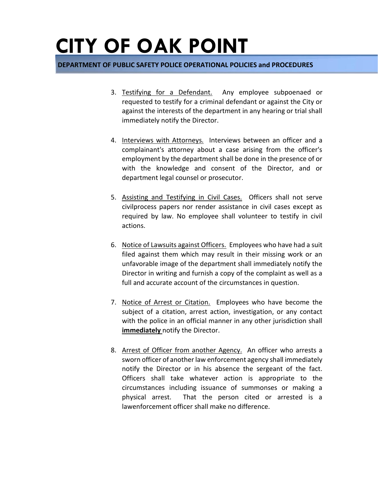- 3. Testifying for a Defendant. Any employee subpoenaed or requested to testify for a criminal defendant or against the City or against the interests of the department in any hearing or trial shall immediately notify the Director.
- 4. Interviews with Attorneys. Interviews between an officer and a complainant's attorney about a case arising from the officer's employment by the department shall be done in the presence of or with the knowledge and consent of the Director, and or department legal counsel or prosecutor.
- 5. Assisting and Testifying in Civil Cases. Officers shall not serve civilprocess papers nor render assistance in civil cases except as required by law. No employee shall volunteer to testify in civil actions.
- 6. Notice of Lawsuits against Officers. Employees who have had a suit filed against them which may result in their missing work or an unfavorable image of the department shall immediately notify the Director in writing and furnish a copy of the complaint as well as a full and accurate account of the circumstances in question.
- 7. Notice of Arrest or Citation. Employees who have become the subject of a citation, arrest action, investigation, or any contact with the police in an official manner in any other jurisdiction shall **immediately** notify the Director.
- 8. Arrest of Officer from another Agency. An officer who arrests a sworn officer of another law enforcement agency shall immediately notify the Director or in his absence the sergeant of the fact. Officers shall take whatever action is appropriate to the circumstances including issuance of summonses or making a physical arrest. That the person cited or arrested is a lawenforcement officer shall make no difference.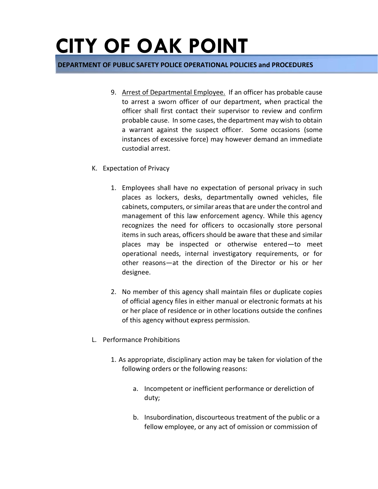- 9. Arrest of Departmental Employee. If an officer has probable cause to arrest a sworn officer of our department, when practical the officer shall first contact their supervisor to review and confirm probable cause. In some cases, the department may wish to obtain a warrant against the suspect officer. Some occasions (some instances of excessive force) may however demand an immediate custodial arrest.
- K. Expectation of Privacy
	- 1. Employees shall have no expectation of personal privacy in such places as lockers, desks, departmentally owned vehicles, file cabinets, computers, or similar areas that are under the control and management of this law enforcement agency. While this agency recognizes the need for officers to occasionally store personal items in such areas, officers should be aware that these and similar places may be inspected or otherwise entered—to meet operational needs, internal investigatory requirements, or for other reasons—at the direction of the Director or his or her designee.
	- 2. No member of this agency shall maintain files or duplicate copies of official agency files in either manual or electronic formats at his or her place of residence or in other locations outside the confines of this agency without express permission.
- L. Performance Prohibitions
	- 1. As appropriate, disciplinary action may be taken for violation of the following orders or the following reasons:
		- a. Incompetent or inefficient performance or dereliction of duty;
		- b. Insubordination, discourteous treatment of the public or a fellow employee, or any act of omission or commission of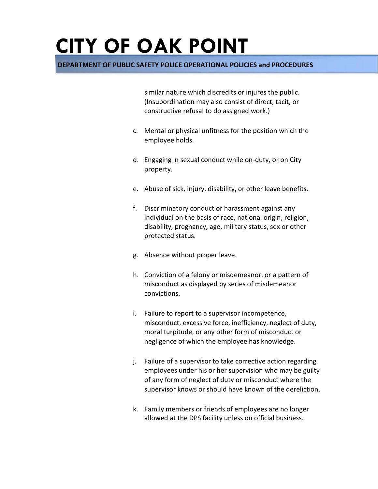**DEPARTMENT OF PUBLIC SAFETY POLICE OPERATIONAL POLICIES and PROCEDURES** 

similar nature which discredits or injures the public. (Insubordination may also consist of direct, tacit, or constructive refusal to do assigned work.)

- c. Mental or physical unfitness for the position which the employee holds.
- d. Engaging in sexual conduct while on-duty, or on City property.
- e. Abuse of sick, injury, disability, or other leave benefits.
- f. Discriminatory conduct or harassment against any individual on the basis of race, national origin, religion, disability, pregnancy, age, military status, sex or other protected status.
- g. Absence without proper leave.
- h. Conviction of a felony or misdemeanor, or a pattern of misconduct as displayed by series of misdemeanor convictions.
- i. Failure to report to a supervisor incompetence, misconduct, excessive force, inefficiency, neglect of duty, moral turpitude, or any other form of misconduct or negligence of which the employee has knowledge.
- j. Failure of a supervisor to take corrective action regarding employees under his or her supervision who may be guilty of any form of neglect of duty or misconduct where the supervisor knows or should have known of the dereliction.
- k. Family members or friends of employees are no longer allowed at the DPS facility unless on official business.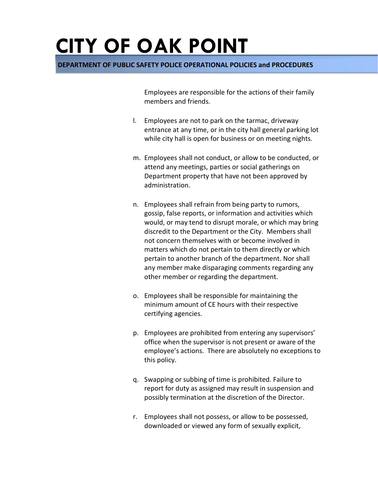**DEPARTMENT OF PUBLIC SAFETY POLICE OPERATIONAL POLICIES and PROCEDURES** 

Employees are responsible for the actions of their family members and friends.

- l. Employees are not to park on the tarmac, driveway entrance at any time, or in the city hall general parking lot while city hall is open for business or on meeting nights.
- m. Employees shall not conduct, or allow to be conducted, or attend any meetings, parties or social gatherings on Department property that have not been approved by administration.
- n. Employees shall refrain from being party to rumors, gossip, false reports, or information and activities which would, or may tend to disrupt morale, or which may bring discredit to the Department or the City. Members shall not concern themselves with or become involved in matters which do not pertain to them directly or which pertain to another branch of the department. Nor shall any member make disparaging comments regarding any other member or regarding the department.
- o. Employees shall be responsible for maintaining the minimum amount of CE hours with their respective certifying agencies.
- p. Employees are prohibited from entering any supervisors' office when the supervisor is not present or aware of the employee's actions. There are absolutely no exceptions to this policy.
- q. Swapping or subbing of time is prohibited. Failure to report for duty as assigned may result in suspension and possibly termination at the discretion of the Director.
- r. Employees shall not possess, or allow to be possessed, downloaded or viewed any form of sexually explicit,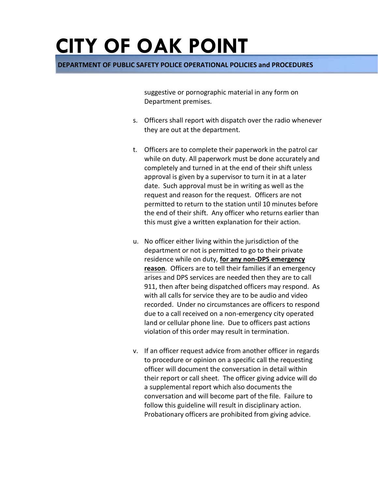**DEPARTMENT OF PUBLIC SAFETY POLICE OPERATIONAL POLICIES and PROCEDURES** 

suggestive or pornographic material in any form on Department premises.

- s. Officers shall report with dispatch over the radio whenever they are out at the department.
- t. Officers are to complete their paperwork in the patrol car while on duty. All paperwork must be done accurately and completely and turned in at the end of their shift unless approval is given by a supervisor to turn it in at a later date. Such approval must be in writing as well as the request and reason for the request. Officers are not permitted to return to the station until 10 minutes before the end of their shift. Any officer who returns earlier than this must give a written explanation for their action.
- u. No officer either living within the jurisdiction of the department or not is permitted to go to their private residence while on duty, **for any non-DPS emergency reason**. Officers are to tell their families if an emergency arises and DPS services are needed then they are to call 911, then after being dispatched officers may respond. As with all calls for service they are to be audio and video recorded. Under no circumstances are officers to respond due to a call received on a non-emergency city operated land or cellular phone line. Due to officers past actions violation of this order may result in termination.
- v. If an officer request advice from another officer in regards to procedure or opinion on a specific call the requesting officer will document the conversation in detail within their report or call sheet. The officer giving advice will do a supplemental report which also documents the conversation and will become part of the file. Failure to follow this guideline will result in disciplinary action. Probationary officers are prohibited from giving advice.